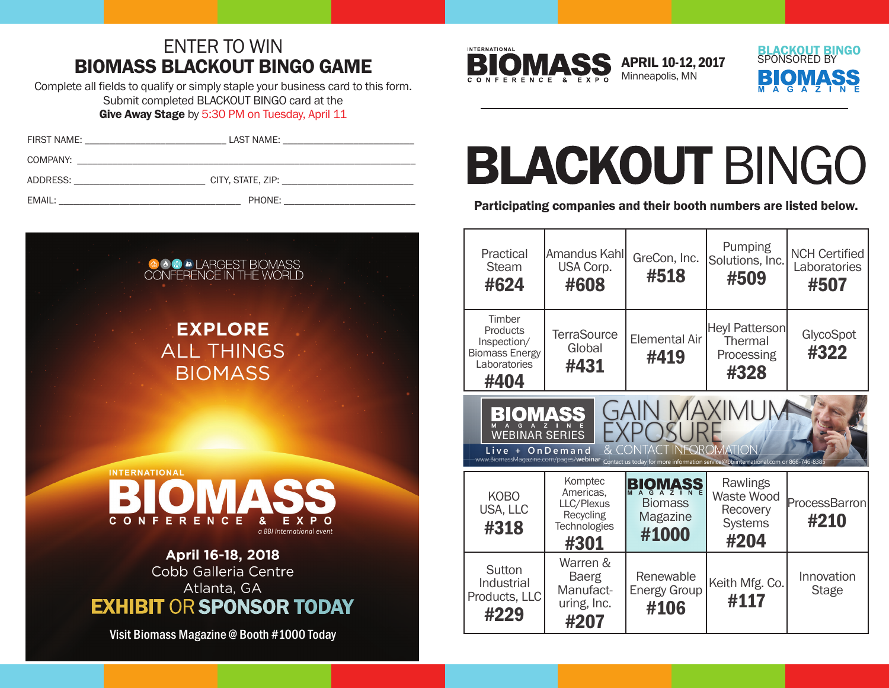## ENTER TO WIN BIOMASS BLACKOUT BINGO GAME

Complete all fields to qualify or simply staple your business card to this form. Submit completed BLACKOUT BINGO card at the Give Away Stage by 5:30 PM on Tuesday, April 11

| FIRST NAME: | LAST NAME: |                                              |
|-------------|------------|----------------------------------------------|
| COMPANY:    |            |                                              |
| ADDRESS:    |            | CITY, STATE, ZIP: New York CITY, STATE, 21P: |
| EMAIL:      | PHONE:     |                                              |





APRIL 10-12, 2017 Minneapolis, MN



## **BLACKOUT BINGO**

Participating companies and their booth numbers are listed below.

| Practical<br><b>Steam</b><br>#624                                                                                                                                                                                                             | Amandus Kahl<br>USA Corp.<br>#608                                       | GreCon, Inc.<br>#518                                  | Pumping<br>Solutions, Inc.<br>#509                           | <b>NCH Certified</b><br>Laboratories<br>#507 |  |
|-----------------------------------------------------------------------------------------------------------------------------------------------------------------------------------------------------------------------------------------------|-------------------------------------------------------------------------|-------------------------------------------------------|--------------------------------------------------------------|----------------------------------------------|--|
| Timber<br>Products<br>Inspection/<br><b>Biomass Energy</b><br>Laboratories<br>#404                                                                                                                                                            | <b>TerraSource</b><br>Global<br>#431                                    | <b>Elemental Air</b><br>#419                          | <b>Heyl Patterson</b><br>Thermal<br>Processing<br>#328       | GlycoSpot<br>#322                            |  |
| <b>GAIN MAXIMUM</b><br>BIOMASS<br>$\overline{G}$<br><b>WEBINAR SERIES</b><br>T INFOROMATION<br>Live + OnDemand<br>www.BiomassMagazine.com/pages/webinar<br>Contact us today for more information service@bbiinternational.com or 866-746-8385 |                                                                         |                                                       |                                                              |                                              |  |
| <b>KOBO</b><br>USA, LLC<br>#318                                                                                                                                                                                                               | Komptec<br>Americas,<br>LLC/Plexus<br>Recycling<br>Technologies<br>#301 | <b>BIOMASS</b><br><b>Biomass</b><br>Magazine<br>#1000 | Rawlings<br>Waste Wood<br>Recovery<br><b>Systems</b><br>#204 | ProcessBarron<br>#210                        |  |
| Sutton<br>Industrial<br>Products, LLC<br>#229                                                                                                                                                                                                 | Warren &<br><b>Baerg</b><br>Manufact-<br>uring, Inc.<br>#207            | Renewable<br><b>Energy Group</b><br>#106              | Keith Mfg. Co.<br>#117                                       | Innovation<br><b>Stage</b>                   |  |